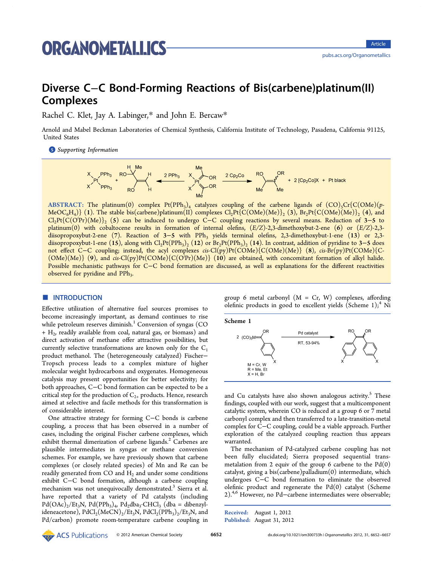# **ORGANOMETALLICS**

# Diverse C−C Bond-Forming Reactions of Bis(carbene)platinum(II) Complexes

Rachel C. Klet, Jay A. Labinger,\* and John E. Bercaw\*

Arnold and Mabel Beckman Laboratori[es](#page-5-0) of Chemical Synthesis, C[alif](#page-5-0)ornia Institute of Technology, Pasadena, California 91125, United States

**S** Supporting Information



ABSTRACT: The platinum(0) complex Pt(PPh<sub>3</sub>)<sub>4</sub> catalyzes coupling of the carbene ligands of (CO)<sub>5</sub>Cr{C(OMe)(p- $MeOC_6H_4$ } (1). The stable bis(carbene)platinum(II) complexes  $Cl_2Pt\{C(OMe)(Me)\}\$ <sub>2</sub> (3), Br<sub>2</sub>Pt{C(OMe)(Me)}<sub>2</sub> (4), and Cl2Pt{C(O<sup>i</sup> Pr)(Me)}2 (5) can be induced to undergo C−C coupling reactions by several means. Reduction of 3−5 to platinum(0) with cobaltocene results in formation of internal olefins,  $(E/Z)-2,3$ -dimethoxybut-2-ene (6) or  $(E/Z)-2,3$ diisopropoxybut-2-ene (7). Reaction of 3–5 with PPh<sub>3</sub> yields terminal olefins, 2,3-dimethoxybut-1-ene (13) or 2,3diisopropoxybut-1-ene (15), along with Cl<sub>2</sub>Pt(PPh<sub>3</sub>)<sub>2</sub> (12) or Br<sub>2</sub>Pt(PPh<sub>3</sub>)<sub>2</sub> (14). In contrast, addition of pyridine to 3–5 does not effect C−C coupling; instead, the acyl complexes cis-Cl(py)Pt(COMe){C(OMe)(Me)} (8), cis-Br(py)Pt(COMe){C-  $(OMe)(Me)$ } (9), and cis-Cl(py)Pt(COMe){C(O<sup>i</sup>Pr)(Me)} (10) are obtained, with concomitant formation of alkyl halide. Possible mechanistic pathways for C−C bond formation are discussed, as well as explanations for the different reactivities observed for pyridine and PPh<sub>3</sub>.

# **ENTRODUCTION**

Effective utilization of alternative fuel sources promises to become increasingly important, as demand continues to rise while petroleum reserves diminish.<sup>1</sup> Conversion of syngas (CO)  $+ H<sub>2</sub>$ , readily available from coal, natural gas, or biomass) and direct activation of methane offe[r](#page-5-0) attractive possibilities, but currently selective transformations are known only for the  $C_1$ product methanol. The (heterogeneously catalyzed) Fischer− Tropsch process leads to a complex mixture of higher molecular weight hydrocarbons and oxygenates. Homogeneous catalysis may present opportunities for better selectivity; for both approaches, C−C bond formation can be expected to be a critical step for the production of  $C_{2+}$  products. Hence, research aimed at selective and facile methods for this transformation is of considerable interest.

One attractive strategy for forming C−C bonds is carbene coupling, a process that has been observed in a number of cases, including the original Fischer carbene complexes, which exhibit thermal dimerization of carbene ligands.<sup>2</sup> Carbenes are plausible intermediates in syngas or methane conversion schemes. For example, we have previously sho[wn](#page-5-0) that carbene complexes (or closely related species) of Mn and Re can be readily generated from CO and  $H_2$  and under some conditions exhibit C−C bond formation, although a carbene coupling mechanism was not unequivocally demonstrated.<sup>3</sup> Sierra et al. have reported that a variety of Pd catalysts (including  $Pd(OAc)<sub>2</sub>/Et<sub>3</sub>N$ ,  $Pd(PPh<sub>3</sub>)<sub>4</sub>$ ,  $Pd<sub>2</sub>dba<sub>3</sub>$  $Pd<sub>2</sub>dba<sub>3</sub>$  $Pd<sub>2</sub>dba<sub>3</sub>$ ·CHCl<sub>3</sub> (dba = dibenzylideneacetone),  $PdCl_2(MeCN)_2/Et_3N$ ,  $PdCl_2(PPh_3)_2/Et_3N$ , and Pd/carbon) promote room-temperature carbene coupling in

group 6 metal carbonyl  $(M = Cr, W)$  complexes, affording olefinic products in good to excellent yields (Scheme 1);<sup>4</sup> Ni



and Cu catalysts have also shown analogous activity.<sup>5</sup> These findings, coupled with our work, suggest that a multicomponent catalytic system, wherein CO is reduced at a group 6 or [7](#page-5-0) metal carbonyl complex and then transferred to a late-transition-metal complex for C−C coupling, could be a viable approach. Further exploration of the catalyzed coupling reaction thus appears warranted.

The mechanism of Pd-catalyzed carbene coupling has not been fully elucidated; Sierra proposed sequential transmetalation from 2 equiv of the group 6 carbene to the  $Pd(0)$ catalyst, giving a bis(carbene)palladium(0) intermediate, which undergoes C−C bond formation to eliminate the observed olefinic product and regenerate the  $Pd(0)$  catalyst (Scheme 2).<sup>4,6</sup> However, no Pd–carbene intermediates were observable;

[R](#page-1-0)e[cei](#page-5-0)ved: August 1, 2012 Published: August 31, 2012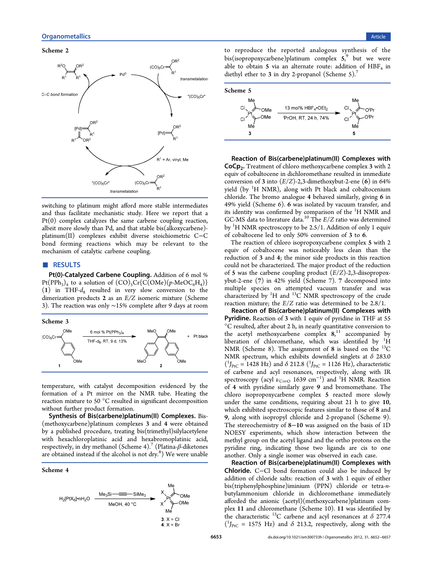#### <span id="page-1-0"></span>Scheme 2



switching to platinum might afford more stable intermediates and thus facilitate mechanistic study. Here we report that a Pt(0) complex catalyzes the same carbene coupling reaction, albeit more slowly than Pd, and that stable bis(alkoxycarbene) platinum(II) complexes exhibit diverse stoichiometric C−C bond forming reactions which may be relevant to the mechanism of catalytic carbene coupling.

# ■ RESULTS

Pt(0)-Catalyzed Carbene Coupling. Addition of 6 mol %  $Pt(PPh_3)_4$  to a solution of  $(CO)_5Cr\{C(OMe)(p-MeOC_6H_4)\}$ (1) in THF- $d_8$  resulted in very slow conversion to the dimerization products 2 as an E/Z isomeric mixture (Scheme 3). The reaction was only ∼15% complete after 9 days at room

#### Scheme 3



temperature, with catalyst decomposition evidenced by the formation of a Pt mirror on the NMR tube. Heating the reaction mixture to 50 °C resulted in significant decomposition without further product formation.

Synthesis of Bis(carbene)platinum(II) Complexes. Bis- (methoxycarbene)platinum complexes 3 and 4 were obtained by a published procedure, treating bis(trimethyl)silylacetylene with hexachloroplatinic acid and hexabromoplatinic acid, respectively, in dry methanol (Scheme 4). (Platina-β-diketones are obtained instead if the alcohol is not dry.<sup>8</sup>) We were unable

# Scheme 4



to reproduce the reported analogous synthesis of the bis(isopropoxycarbene)platinum complex 5, <sup>9</sup> but we were able to obtain 5 via an alternate route: addition of  $HBF<sub>4</sub>$  in di[e](#page-5-0)thyl ether to 3 in dry 2-propanol (Scheme 5).<sup>7</sup>



Reaction of Bis(carbene)platinum(II) Complexes with CoCp<sub>2</sub>. Treatment of chloro methoxycarbene complex 3 with 2 equiv of cobaltocene in dichloromethane resulted in immediate conversion of 3 into  $(E/Z)$ -2,3-dimethoxybut-2-ene (6) in 64% yield (by <sup>1</sup>H NMR), along with Pt black and cobaltocenium chloride. The bromo analogue 4 behaved similarly, giving 6 in 49% yield (Scheme 6). 6 was isolated by vacuum transfer, and its identity was confirmed by comparison of the <sup>1</sup>H NMR and GC-MS d[at](#page-2-0)a to literature data.<sup>10</sup> The  $E/Z$  ratio was determined by <sup>1</sup>H NMR spectroscopy to be 2.5/1. Addition of only 1 equiv of cobaltocene led to only 50[%](#page-5-0) conversion of 3 to 6.

The reaction of chloro isopropoxycarbene complex 5 with 2 equiv of cobaltocene was noticeably less clean than the reduction of 3 and 4; the minor side products in this reaction could not be characterized. The major product of the reduction of 5 was the carbene coupling product  $(E/Z)$ -2,3-diisopropoxybut-2-ene (7) in 42% yield (Scheme 7). 7 decomposed into multiple species on attempted vacuum transfer and was characterized by  ${}^{1}H$  and  ${}^{13}C$  NMR sp[ec](#page-2-0)troscopy of the crude reaction mixture; the  $E/Z$  ratio was determined to be 2.8/1.

Reaction of Bis(carbene)platinum(II) Complexes with Pyridine. Reaction of 3 with 1 equiv of pyridine in THF at 55 °C resulted, after about 2 h, in nearly quantitative conversion to the acetyl methoxycarbene complex  $8,11$  accompanied by liberation of chloromethane, which was identified by  ${}^{1}H$ NMR (Scheme 8). The assignment of 8 [is](#page-5-0) based on the  $^{13}C$ NMR spectrum, which exhibits downfield singlets at  $\delta$  283.0  $({}^{1}J_{\text{PrC}} = 1428 \text{ Hz})$  and  $\delta$  212.8  $({}^{1}J_{\text{PrC}} = 1126 \text{ Hz})$ , characteristic of carbene and acyl resonances, respectively, along with IR spectroscopy (acyl  $\nu_{\text{C}=0}$  1639 cm<sup>-1</sup>) and <sup>1</sup>H NMR. Reaction of 4 with pyridine similarly gave 9 and bromomethane. The chloro isopropoxycarbene complex 5 reacted more slowly under the same conditions, requiring about 21 h to give 10, which exhibited spectroscopic features similar to those of 8 and 9, along with isopropyl chloride and 2-propanol (Scheme 9). The stereochemistry of 8−10 was assigned on the basis of 1D NOESY experiments, which show interaction between [th](#page-2-0)e methyl group on the acetyl ligand and the ortho protons on the pyridine ring, indicating those two ligands are cis to one another. Only a single isomer was observed in each case.

Reaction of Bis(carbene)platinum(II) Complexes with Chloride. C−Cl bond formation could also be induced by addition of chloride salts: reaction of 3 with 1 equiv of either bis(triphenylphosphine)iminium (PPN) chloride or tetra-nbutylammonium chloride in dichloromethane immediately afforded the anionic (acetyl)(methoxycarbene)platinum complex 11 and chloromethane (Scheme 10). 11 was identified by the characteristic <sup>13</sup>C carbene and acyl resonances at  $\delta$  277.4  $(^{1}J_{\text{PtC}} = 1575 \text{ Hz})$  and  $\delta$  213.2, res[pec](#page-2-0)tively, along with the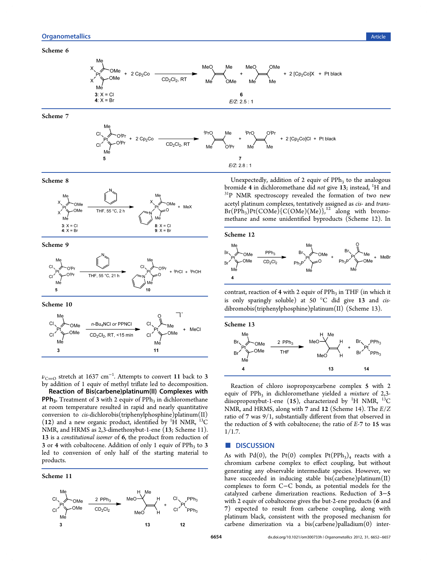#### <span id="page-2-0"></span>Scheme 6



Scheme 7



Scheme 8



Scheme 9



Scheme 10



 $\nu_{\rm{C=O}}$  stretch at 1637 cm $^{-1}$ . Attempts to convert 11 back to 3 by addition of 1 equiv of methyl triflate led to decomposition.

Reaction of Bis(carbene)platinum(II) Complexes with **PPh<sub>3</sub>.** Treatment of 3 with 2 equiv of PPh<sub>3</sub> in dichloromethane at room temperature resulted in rapid and nearly quantitative conversion to  $cis$ -dichlorobis(triphenylphosphine)platinum(II) (12) and a new organic product, identified by  ${}^{1}H$  NMR,  ${}^{13}C$ NMR, and HRMS as 2,3-dimethoxybut-1-ene (13; Scheme 11). 13 is a constitutional isomer of 6, the product from reduction of 3 or 4 with cobaltocene. Addition of only 1 equiv of  $PPh<sub>3</sub>$  to 3 led to conversion of only half of the starting material to products.

Scheme 11



Unexpectedly, addition of 2 equiv of  $PPh<sub>3</sub>$  to the analogous bromide 4 in dichloromethane did *not* give 13; instead,  $H$  and <sup>31</sup>P NMR spectroscopy revealed the formation of two new acetyl platinum complexes, tentatively assigned as cis- and trans- $Br(\mathrm{PPh}_3)Pt(\mathrm{COMe}){C(\mathrm{OMe})(Me)^{'}}_1$ ,<sup>12</sup> along with bromomethane and some unidentified byproducts (Scheme 12). In



contrast, reaction of 4 with 2 equiv of  $PPh<sub>3</sub>$  in THF (in which it is only sparingly soluble) at 50 °C did give 13 and cisdibromobis(triphenylphosphine)platinum(II) (Scheme 13).



Reaction of chloro isopropoxycarbene complex 5 with 2 equiv of  $PPh_3$  in dichloromethane yielded a mixture of 2,3diisopropoxybut-1-ene (15), characterized by <sup>1</sup>H NMR, <sup>13</sup>C NMR, and HRMS, along with 7 and 12 (Scheme 14). The E/Z ratio of 7 was 9/1, substantially different from that observed in the reduction of 5 with cobaltocene; the ratio of [E](#page-3-0)-7 to 15 was  $1/1.7.$ 

### ■ DISCUSSION

As with Pd(0), the Pt(0) complex Pt(PPh<sub>3</sub>)<sub>4</sub> reacts with a chromium carbene complex to effect coupling, but without generating any observable intermediate species. However, we have succeeded in inducing stable bis(carbene)platinum(II) complexes to form C−C bonds, as potential models for the catalyzed carbene dimerization reactions. Reduction of 3−5 with 2 equiv of cobaltocene gives the but-2-ene products (6 and 7) expected to result from carbene coupling, along with platinum black, consistent with the proposed mechanism for carbene dimerization via a bis(carbene)palladium(0) inter-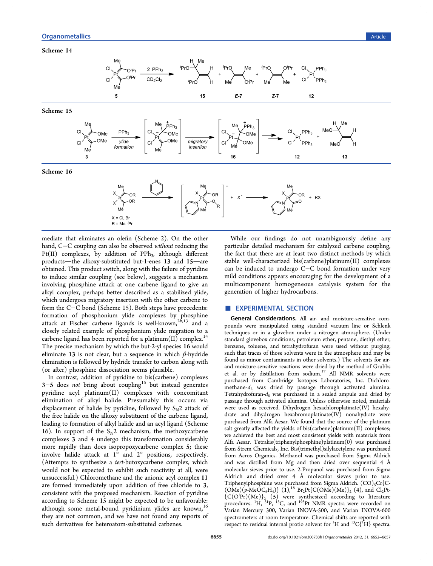#### <span id="page-3-0"></span>Scheme 14



mediate that eliminates an olefin (Scheme 2). On the other hand, C−C coupling can also be observed without reducing the Pt(II) complexes, by addition of  $PPh_3$ , [alt](#page-1-0)hough different products-the alkoxy-substituted but-1-enes 13 and 15-are obtained. This product switch, along with the failure of pyridine to induce similar coupling (see below), suggests a mechanism involving phosphine attack at one carbene ligand to give an alkyl complex, perhaps better described as a stabilized ylide, which undergoes migratory insertion with the other carbene to form the C−C bond (Scheme 15). Both steps have precedents: formation of phosphonium ylide complexes by phosphine attack at Fischer carbene ligands is well-known,<sup>26,13</sup> and a closely related example of phosphonium ylide migration to a carbene ligand has been reported for a platinum $(II)$  c[om](#page-5-0)plex.<sup>14</sup> The precise mechanism by which the but-2-yl species 16 would eliminate 13 is not clear, but a sequence in which  $β$ -hydri[de](#page-5-0) elimination is followed by hydride transfer to carbon along with (or after) phosphine dissociation seems plausible.

In contrast, addition of pyridine to bis(carbene) complexes 3−5 does not bring about coupling<sup>15</sup> but instead generates pyridine acyl platinum(II) complexes with concomitant elimination of alkyl halide. Pres[um](#page-5-0)ably this occurs via displacement of halide by pyridine, followed by  $S_{N2}$  attack of the free halide on the alkoxy substituent of the carbene ligand, leading to formation of alkyl halide and an acyl ligand (Scheme 16). In support of the  $S_N2$  mechanism, the methoxycarbene complexes 3 and 4 undergo this transformation considerably more rapidly than does isopropoxycarbene complex 5; these involve halide attack at 1° and 2° positions, respectively. (Attempts to synthesize a tert-butoxycarbene complex, which would not be expected to exhibit such reactivity at all, were unsuccessful.) Chloromethane and the anionic acyl complex 11 are formed immediately upon addition of free chloride to 3, consistent with the proposed mechanism. Reaction of pyridine according to Scheme 15 might be expected to be unfavorable: although some metal-bound pyridinium ylides are known,<sup>16</sup> they are not common, and we have not found any reports of such derivatives for heteroatom-substituted carbenes.

While our findings do not unambiguously define any particular detailed mechanism for catalyzed carbene coupling, the fact that there are at least two distinct methods by which stable well-characterized bis(carbene)platinum(II) complexes can be induced to undergo C−C bond formation under very mild conditions appears encouraging for the development of a multicomponent homogeneous catalysis system for the generation of higher hydrocarbons.

# **EXPERIMENTAL SECTION**

General Considerations. All air- and moisture-sensitive compounds were manipulated using standard vacuum line or Schlenk techniques or in a glovebox under a nitrogen atmosphere. (Under standard glovebox conditions, petroleum ether, pentane, diethyl ether, benzene, toluene, and tetrahydrofuran were used without purging, such that traces of those solvents were in the atmosphere and may be found as minor contaminants in other solvents.) The solvents for airand moisture-sensitive reactions were dried by the method of Grubbs et al. or by distillation from sodium.<sup>17</sup> All NMR solvents were purchased from Cambridge Isotopes Laboratories, Inc. Dichloromethane- $d_2$  was dried by passage [thr](#page-5-0)ough activated alumina. Tetrahydrofuran- $d_8$  was purchased in a sealed ampule and dried by passage through activated alumina. Unless otherwise noted, materials were used as received. Dihydrogen hexachloroplatinate(IV) hexahydrate and dihydrogen hexabromoplatinate(IV) nonahydrate were purchased from Alfa Aesar. We found that the source of the platinum salt greatly affected the yields of bis(carbene)platinum(II) complexes; we achieved the best and most consistent yields with materials from Alfa Aesar. Tetrakis(triphenylphosphine)platinum(0) was purchased from Strem Chemicals, Inc. Bis(trimethyl)silylacetylene was purchased from Acros Organics. Methanol was purchased from Sigma Aldrich and was distilled from Mg and then dried over sequential 4 Å molecular sieves prior to use. 2-Propanol was purchased from Sigma Aldrich and dried over 4 Å molecular sieves prior to use. Triphenylphosphine was purchased from Sigma Aldrich.  $(CO)_{5}Cr(C (OMe)(p-MeOC<sub>6</sub>H<sub>4</sub>)$ } (1),<sup>18</sup> Br<sub>2</sub>Pt{C(OMe)(Me)}<sub>2</sub> (4), and Cl<sub>2</sub>Pt- ${C(O^{\{p\}}r)(Me)\}_2$  (5) were synthesized according to literature procedures. <sup>1</sup>H, <sup>31</sup>P, <sup>13</sup>C, a[nd](#page-5-0) <sup>195</sup>Pt NMR spectra were recorded on Varian Mercury 300, Varian INOVA-500, and Varian INOVA-600 spectrometers at room temperature. Chemical shifts are reported with respect to residual internal protio solvent for  ${}^{1}H$  and  ${}^{13}C\{{}^{1}H\}$  spectra.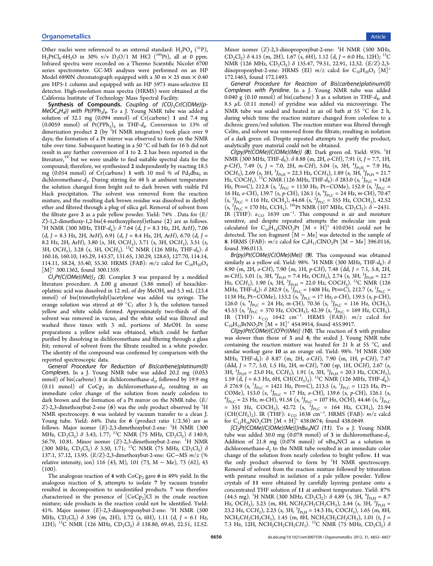Other nuclei were referenced to an external standard:  $H_3PO_4$  (<sup>31</sup>P),  $H_2PtCl_6·6H_2O$  in 30% v/v  $D_2O/1$  M HCl (<sup>195</sup>Pt), all at 0 ppm. Infrared spectra were recorded on a Thermo Scientific Nicolet 6700 series spectrometer. GC-MS analyses were performed on an HP Model 6890N chromatograph equipped with a 30 m  $\times$  25 mm  $\times$  0.40  $\mu$ m HP5-1 column and equipped with an HP 5973 mass-selective EI detector. High-resolution mass spectra (HRMS) were obtained at the California Institute of Technology Mass Spectral Facility.

Synthesis of Compounds. Coupling of  $(CO)_5Cr(C(OMe)/p-1)$  $MeOC_6H_4$ } with Pt(PPh<sub>3</sub>)<sub>4</sub>. To a J. Young NMR tube was added a solution of 32.1 mg (0.094 mmol) of Cr(carbene) 1 and 7.4 mg (0.0059 mmol) of  $Pt(PPh_3)_4$  in THF- $d_8$ . Conversion to 13% of dimerization product 2 (by  $1H$  NMR integration) took place over 9 days; the formation of a Pt mirror was observed to form on the NMR tube over time. Subsequent heating in a 50 °C oil bath for 16 h did not result in any further conversion of 1 to 2. 2 has been reported in the literature,<sup>19</sup> but we were unable to find suitable spectral data for the compound; therefore, we synthesized 2 independently by reacting 18.5 mg (0.0[54](#page-5-0) mmol) of Cr(carbene) 1 with 10 mol % of  $Pd_2dba_3$  in dichloromethane- $d_2$ . During stirring for 48 h at ambient temperature the solution changed from bright red to dark brown with visible Pd black precipitation. The solvent was removed from the reaction mixture, and the resulting dark brown residue was dissolved in diethyl ether and filtered through a plug of silica gel. Removal of solvent from the filtrate gave 2 as a pale yellow powder. Yield:  $74\%$  . Data for  $(E/$ <sup>Z</sup>)-1,2-dimethoxy-1,2-bis(4-methoxyphenyl)ethane (2) are as follows. <sup>1</sup> <sup>1</sup>H NMR (300 MHz, THF- $d_8$ ):  $\delta$  7.64 (d, J = 8.3 Hz, 2H, ArH), 7.06  $(d, J = 8.3 \text{ Hz}, 2H, ArH), 6.91 (d, J = 8.4 \text{ Hz}, 2H, ArH), 6.70 (d, J = 1.5 \text{ Hz})$ 8.2 Hz, 2H, ArH), 3.80 (s, 3H, OCH<sub>3</sub>), 3.71 (s, 3H, OCH<sub>3</sub>), 3.51 (s, 3H, OCH<sub>3</sub>), 3.28 (s, 3H, OCH<sub>3</sub>). <sup>13</sup>C NMR (126 MHz, THF- $d_8$ ):  $\delta$ 160.16, 160.10, 145.29, 143.57, 131.65, 130.29, 128.63, 127.70, 114.14, 114.11, 58.24, 55.40, 55.30. HRMS (FAB):  $m/z$  calcd for  $C_{18}H_{20}O_4$  $[M]^+$  300.1362, found 300.1359.

 $Cl_2Pt(C(OMe)(Me))$ <sub>2</sub> (3). Complex 3 was prepared by a modified literature procedure. A 2.00 g amount (3.86 mmol) of hexachloroplatinic acid was dissolved in 12 mL of dry MeOH, and 5.3 mL (23.4 mmol) of bis(trimethylsilyl)acetylene was added via syringe. The orange solution was stirred at 49 °C; after 3 h, the solution turned yellow and white solids formed. Approximately two-thirds of the solvent was removed in vacuo, and the white solid was filtered and washed three times with 3 mL portions of MeOH. In some preparations a yellow solid was obtained, which could be further purified by dissolving in dichloromethane and filtering through a glass frit; removal of solvent from the filtrate resulted in a white powder. The identity of the compound was confirmed by comparison with the reported spectroscopic data.

General Procedure for Reduction of Bis(carbene)platinum(II) Complexes. In a J. Young NMR tube was added 20.2 mg (0.053 mmol) of bis(carbene) 3 in dichloromethane- $d_2$ , followed by 19.9 mg (0.11 mmol) of  $CoCp_2$  in dichloromethane- $d_2$ , resulting in an immediate color change of the solution from nearly colorless to dark brown and the formation of a Pt mirror on the NMR tube. (E/ Z)-2,3-dimethoxybut-2-ene (6) was the only product observed by  ${}^{1}\text{H}$ NMR spectroscopy. 6 was isolated by vacuum transfer to a clean J. Young tube. Yield: 64%. Data for 6 (product ratio 1/2.36) are as follows. Major isomer (E)-2,3-dimethoxybut-2-ene: <sup>1</sup>H NMR (300 MHz, CD<sub>2</sub>Cl<sub>2</sub>)  $\delta$  3.43, 1.77; <sup>13</sup>C NMR (75 MHz, CD<sub>2</sub>Cl<sub>2</sub>)  $\delta$  140.9, 56.79, 10.81. Minor isomer (Z)-2,3-dimethoxybut-2-ene: <sup>1</sup>H NMR (300 MHz,  $CD_2Cl_2$ )  $\delta$  3.50, 1.71; <sup>13</sup>C NMR (75 MHz,  $CD_2Cl_2$ )  $\delta$ 137.1, 57.12, 13.95. (E/Z)-2,3-dimethoxybut-2-ene: GC−MS m/z (% relative intensity, ion) 116 (43, M), 101 (73, M − Me), 73 (62), 43  $(100).$ 

The analogous reaction of 4 with  $CoCp<sub>2</sub>$  gave 6 in 49% yield. In the analogous reaction of 5, attempts to isolate 7 by vacuum transfer resulted in decomposition to unidentified products. 7 was therefore characterized in the presence of  $[CoCp<sub>2</sub>]Cl$  in the crude reaction mixture; side products in the reaction could not be identified. Yield: 41%. Major isomer (E)-2,3-diisopropoxybut-2-ene: <sup>1</sup>H NMR (500 MHz,  $CD_2Cl_2$ )  $\delta$  3.96 (m, 2H), 1.72 (s, 6H), 1.11 (d, J = 6.1 Hz, 12H); <sup>13</sup>C NMR (126 MHz, CD<sub>2</sub>Cl<sub>2</sub>) δ 138.80, 69.45, 22.51, 12.52.

Minor isomer (Z)-2,3-diisopropoxybut-2-ene: <sup>1</sup>H NMR (500 MHz,  $CD_2Cl_2$ )  $\delta$  4.15 (m, 2H), 1.67 (s, 6H), 1.12 (d, J = 6.0 Hz, 12H); <sup>13</sup>C NMR (126 MHz,  $CD_2Cl_2$ )  $\delta$  135.47, 79.51, 22.91, 12.52.  $(E/Z)$ -2,3diisopropoxybut-2-ene: HRMS (EI)  $m/z$  calcd for  $C_{10}H_{20}O_2$  [M]<sup>+</sup> 172.1463, found 172.1493.

General Procedure for Reaction of Bis(carbene)platinum(II) Complexes with Pyridine. In a J. Young NMR tube was added 0.040 g (0.10 mmol) of bis(carbene) 3 as a solution in THF- $d_8$ , and 8.5  $\mu$ L (0.11 mmol) of pyridine was added via microsyringe. The NMR tube was sealed and heated in an oil bath at 55 °C for 2 h, during which time the reaction mixture changed from colorless to a dichroic green/red solution. The reaction mixture was filtered through Celite, and solvent was removed from the filtrate, resulting in isolation of a dark green oil. Despite repeated attempts to purify the product, analytically pure material could not be obtained.

 $Cl(py)Pt(COME)\lbrace C(OMe)(Me)\rbrace$  (8). Dark green oil. Yield: 93%.  ${}^{1}H$ NMR (300 MHz, THF- $d_8$ ):  $\delta$  8.88 (m, 2H, o-CH), 7.91 (t, J = 7.7, 1H, p-CH), 7.49 (t, J = 7.0, 2H, m-CH), 5.04 (s, 3H,  $^4J_{Pt,H}$  = 7.9 Hz, OCH<sub>3</sub>), 2.69 (s, 3H, <sup>3</sup>J<sub>Pt,H</sub> = 22.3 Hz, CCH<sub>3</sub>), 1.89 (s, 3H, <sup>3</sup>J<sub>Pt,H</sub> = 21.7 Hz, COCH<sub>3</sub>). <sup>13</sup>C NMR (126 MHz, THF-d<sub>8</sub>):  $\delta$  283.0 (s, <sup>1</sup>J<sub>Pt</sub>c = 1428 Hz, Pt=C), 212.8 (s,  $^{1}J_{\text{Pt,C}} = 1130$  Hz, Pt–COMe), 152.9 (s,  $^{3}J_{\text{Pt,C}} =$ 16 Hz, o-CH), 139.7 (s, p-CH), 126.1 (s, <sup>4</sup>J<sub>Pt,C</sub> = 24 Hz, m-CH), 70.47  $(s, {}^{3}J_{Pt,C} = 116 \text{ Hz}, \text{OCH}_3)$ , 44.68  $(s, {}^{2}J_{Pt,C} = 355 \text{ Hz}, \text{COCH}_3)$ , 42.52  $(s, {}^{2}J_{\text{Pt,C}} = 170 \text{ Hz}, \text{CCH}_{3})$ . <sup>195</sup>Pt NMR (107 MHz, CD<sub>2</sub>Cl<sub>2</sub>):  $\delta$  –2431. IR (THF):  $\nu_{\text{CO}}$  1639 cm<sup>-1</sup>. This compound is air and moisture sensitive, and despite repeated attempts the molecular ion peak calculated for  $C_{10}H_{14}CINO_2Pt [M + H]^+$  410.0361 could not be detected. The ion fragment  $[M - Me]$  was detected in the sample of 8. HRMS (FAB):  $m/z$  calcd for C<sub>9</sub>H<sub>11</sub>ClNO<sub>2</sub>Pt [M – Me] 396.0116, found 396.0113.

Br(py)Pt(COMe){C(OMe)(Me)} (9). This compound was obtained similarly as a yellow oil. Yield: 98%.  $^1\text{H NMR}$  (300 MHz, THF- $d_8$ ):  $\delta$ 8.90 (m, 2H, o-CH), 7.90 (m, 1H, p-CH), 7.48 (dd, J = 7.1, 5.8, 2H, *m*-CH), 5.01 (s, 3H,  ${}^{4}J_{Pt,H}$  = 7.4 Hz, OCH<sub>3</sub>), 2.74 (s, 3H,  ${}^{3}J_{Pt,H}$  = 22.7 Hz, CCH<sub>3</sub>), 1.90 (s, 3H, <sup>3</sup>J<sub>Pt,H</sub> = 22.0 Hz, COCH<sub>3</sub>). <sup>13</sup>C NMR (126 MHz, THF-d<sub>8</sub>):  $\delta$  282.9 (s,  $^{1}J_{\text{Pt,C}}$  = 1408 Hz, Pt=C), 212.7 (s,  $^{1}J_{\text{Pt,C}}$  = 1138 Hz, Pt–COMe), 153.2 (s,  ${}^{3}J_{\text{Pt,C}}$  = 17 Hz, o-CH), 139.5 (s, p-CH), 126.0 (s,  ${}^{4}J_{\text{Pt,C}} = 24$  Hz, m-CH), 70.36 (s,  ${}^{3}J_{\text{Pt,C}} = 116$  Hz, OCH<sub>3</sub>), 43.53 (s,  ${}^{2}J_{\text{Pt,C}}$  = 370 Hz, COCH<sub>3</sub>), 42.39 (s,  ${}^{2}J_{\text{Pt,C}}$  = 169 Hz, CCH<sub>3</sub>). IR (THF):  $\nu_{\text{CO}}$  1642 cm<sup>-1</sup>. HRMS (FAB):  $m/z$  calcd for  $C_{10}H_{15}BrNO_2Pt$  [M + H]<sup>+</sup> 454.9914, found 455.9917.

 $\widetilde{Cl(py)}$ Pt( $\widetilde{COMe}$ ){ $\widetilde{Cl(O^{\prime}Pr)}$ (Me)} (10). The reaction of 5 with pyridine was slower than those of 3 and 4; the sealed J. Young NMR tube containing the reaction mixture was heated for 21 h at 55 °C, and similar workup gave 10 as an orange oil. Yield: 98%. <sup>1</sup>H NMR (300 MHz, THF- $d_8$ ):  $\delta$  8.87 (m, 2H, o-CH), 7.90 (m, 1H, p-CH), 7.47 (ddd, J = 7.7, 5.0, 1.5 Hz, 2H, m-CH), 7.00 (sp, 1H, OCH), 2.67 (s,  $3H$ ,  $3J_{Pt,H} = 23.0$  Hz, CCH<sub>3</sub>), 1.91 (s, 3H,  $3J_{Pt,H} = 20.3$  Hz, COCH<sub>3</sub>), 1.59 (d, J = 6.3 Hz, 6H, CH(CH<sub>3</sub>)<sub>2</sub>). <sup>13</sup>C NMR (126 MHz, THF-d<sub>8</sub>):  $\delta$  276.9 (s, <sup>1</sup>J<sub>Pt,C</sub> = 1421 Hz, Pt=C), 213.5 (s, <sup>1</sup>J<sub>Pt,C</sub> = 1125 Hz, Pt-COMe), 153.0 (s, <sup>3</sup>J<sub>Pt,C</sub> = 17 Hz, o-CH), 139.6 (s, p-CH), 126.1 (s, <sup>1</sup>J<sub>Pt,C</sub> = 25 Hz, m-CH), 91.58 (s, <sup>3</sup>J<sub>Pt,C</sub> = 107 Hz, OCH), 44.46 (s, <sup>2</sup>J<sub>Pt,C</sub>  $= 351$  Hz, COCH<sub>3</sub>), 42.72 (s, <sup>2</sup>J<sub>Pt,C</sub> = 164 Hz, CCH<sub>3</sub>), 21.94 (CH(CH<sub>3</sub>)<sub>2</sub>). IR (THF):  $\nu_{\text{CO}}$  1638 cm<sup>-1</sup>. HRMS (FAB):  $m/z$  calcd for  $C_{12}H_{18}NO_2ClPt [M + H]^+$  438.0674; found 438.0649.

 $[Cl<sub>2</sub>Pt(COME){C(OME)(Me)}]nBu<sub>4</sub>NCI$  (11). To a J. Young NMR tube was added 30.0 mg (0.078 mmol) of 3 in dichloromethane- $d_2$ . Addition of 21.8 mg  $(0.078 \text{ mmol})$  of  $nBu<sub>4</sub>NCl$  as a solution in dichloromethane- $d_2$  to the NMR tube resulted in an immediate color change of the solution from nearly colorless to bright yellow. 11 was the only product observed to form by <sup>1</sup>H NMR spectroscopy. Removal of solvent from the reaction mixture followed by trituration with pentane resulted in isolation of a pale yellow powder. Yellow crystals of 11 were obtained by carefully layering pentane onto a concentrated THF solution of 11 at ambient temperature. Yield: 87% (44.5 mg). <sup>1</sup>H NMR (300 MHz, CD<sub>2</sub>Cl<sub>2</sub>):  $\delta$  4.89 (s, 3H, <sup>4</sup>J<sub>Pt,H</sub> = 8.7 Hz, OCH<sub>3</sub>), 3.23 (m, 8H, NCH<sub>2</sub>CH<sub>2</sub>CH<sub>2</sub>CH<sub>3</sub>), 2.44 (s, 3H, <sup>3</sup>J<sub>Pt,H</sub> = 23.2 Hz, CCH<sub>3</sub>), 2.23 (s, 3H, <sup>3</sup>J<sub>Pt,H</sub> = 14.3 Hz, COCH<sub>3</sub>), 1.65 (m, 8H,  $NCH_2CH_2CH_2CH_3$ ), 1.45 (m, 8H,  $NCH_2CH_2CH_2CH_3$ ), 1.01 (t, J = 7.3 Hz, 12H, NCH<sub>2</sub>CH<sub>2</sub>CH<sub>2</sub>CH<sub>3</sub>). <sup>13</sup>C NMR (75 MHz, CD<sub>2</sub>Cl<sub>2</sub>)  $\delta$